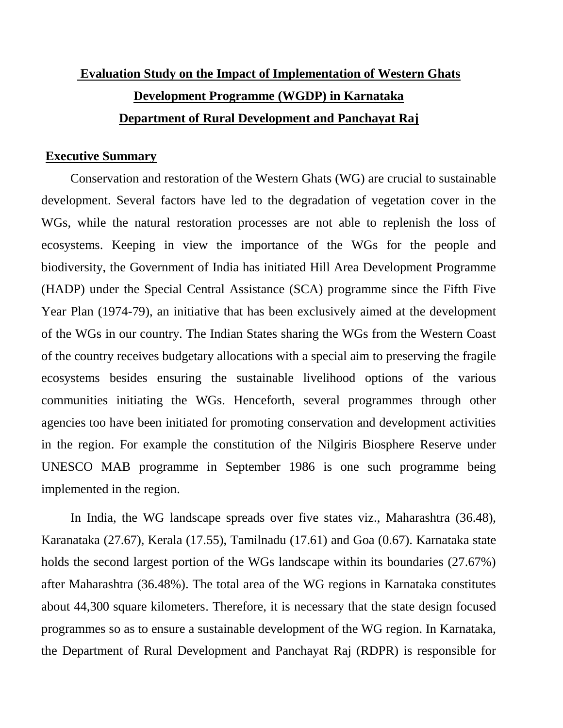# **Evaluation Study on the Impact of Implementation of Western Ghats Development Programme (WGDP) in Karnataka Department of Rural Development and Panchayat Raj**

#### **Executive Summary**

Conservation and restoration of the Western Ghats (WG) are crucial to sustainable development. Several factors have led to the degradation of vegetation cover in the WGs, while the natural restoration processes are not able to replenish the loss of ecosystems. Keeping in view the importance of the WGs for the people and biodiversity, the Government of India has initiated Hill Area Development Programme (HADP) under the Special Central Assistance (SCA) programme since the Fifth Five Year Plan (1974-79), an initiative that has been exclusively aimed at the development of the WGs in our country. The Indian States sharing the WGs from the Western Coast of the country receives budgetary allocations with a special aim to preserving the fragile ecosystems besides ensuring the sustainable livelihood options of the various communities initiating the WGs. Henceforth, several programmes through other agencies too have been initiated for promoting conservation and development activities in the region. For example the constitution of the Nilgiris Biosphere Reserve under UNESCO MAB programme in September 1986 is one such programme being implemented in the region.

In India, the WG landscape spreads over five states viz., Maharashtra (36.48), Karanataka (27.67), Kerala (17.55), Tamilnadu (17.61) and Goa (0.67). Karnataka state holds the second largest portion of the WGs landscape within its boundaries (27.67%) after Maharashtra (36.48%). The total area of the WG regions in Karnataka constitutes about 44,300 square kilometers. Therefore, it is necessary that the state design focused programmes so as to ensure a sustainable development of the WG region. In Karnataka, the Department of Rural Development and Panchayat Raj (RDPR) is responsible for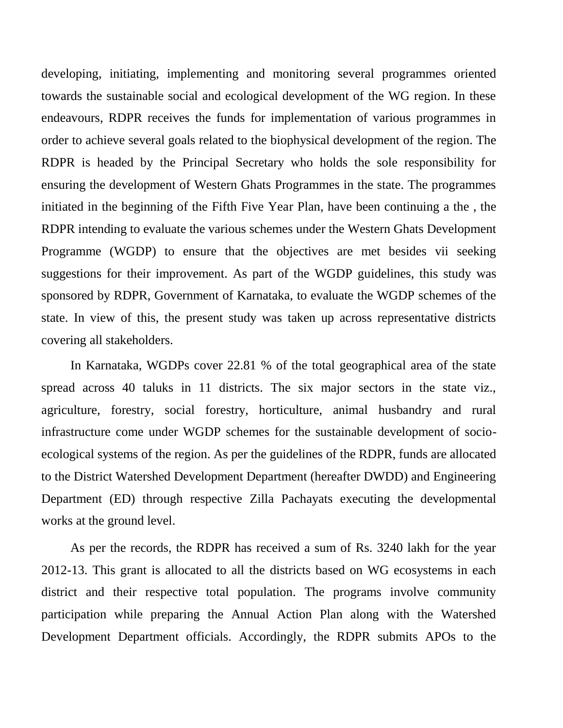developing, initiating, implementing and monitoring several programmes oriented towards the sustainable social and ecological development of the WG region. In these endeavours, RDPR receives the funds for implementation of various programmes in order to achieve several goals related to the biophysical development of the region. The RDPR is headed by the Principal Secretary who holds the sole responsibility for ensuring the development of Western Ghats Programmes in the state. The programmes initiated in the beginning of the Fifth Five Year Plan, have been continuing a the , the RDPR intending to evaluate the various schemes under the Western Ghats Development Programme (WGDP) to ensure that the objectives are met besides vii seeking suggestions for their improvement. As part of the WGDP guidelines, this study was sponsored by RDPR, Government of Karnataka, to evaluate the WGDP schemes of the state. In view of this, the present study was taken up across representative districts covering all stakeholders.

In Karnataka, WGDPs cover 22.81 % of the total geographical area of the state spread across 40 taluks in 11 districts. The six major sectors in the state viz., agriculture, forestry, social forestry, horticulture, animal husbandry and rural infrastructure come under WGDP schemes for the sustainable development of socioecological systems of the region. As per the guidelines of the RDPR, funds are allocated to the District Watershed Development Department (hereafter DWDD) and Engineering Department (ED) through respective Zilla Pachayats executing the developmental works at the ground level.

As per the records, the RDPR has received a sum of Rs. 3240 lakh for the year 2012-13. This grant is allocated to all the districts based on WG ecosystems in each district and their respective total population. The programs involve community participation while preparing the Annual Action Plan along with the Watershed Development Department officials. Accordingly, the RDPR submits APOs to the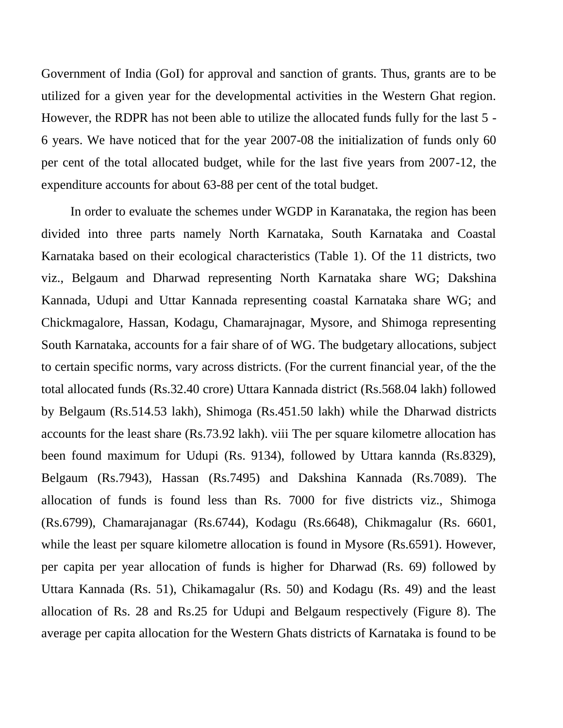Government of India (GoI) for approval and sanction of grants. Thus, grants are to be utilized for a given year for the developmental activities in the Western Ghat region. However, the RDPR has not been able to utilize the allocated funds fully for the last 5 - 6 years. We have noticed that for the year 2007-08 the initialization of funds only 60 per cent of the total allocated budget, while for the last five years from 2007-12, the expenditure accounts for about 63-88 per cent of the total budget.

In order to evaluate the schemes under WGDP in Karanataka, the region has been divided into three parts namely North Karnataka, South Karnataka and Coastal Karnataka based on their ecological characteristics (Table 1). Of the 11 districts, two viz., Belgaum and Dharwad representing North Karnataka share WG; Dakshina Kannada, Udupi and Uttar Kannada representing coastal Karnataka share WG; and Chickmagalore, Hassan, Kodagu, Chamarajnagar, Mysore, and Shimoga representing South Karnataka, accounts for a fair share of of WG. The budgetary allocations, subject to certain specific norms, vary across districts. (For the current financial year, of the the total allocated funds (Rs.32.40 crore) Uttara Kannada district (Rs.568.04 lakh) followed by Belgaum (Rs.514.53 lakh), Shimoga (Rs.451.50 lakh) while the Dharwad districts accounts for the least share (Rs.73.92 lakh). viii The per square kilometre allocation has been found maximum for Udupi (Rs. 9134), followed by Uttara kannda (Rs.8329), Belgaum (Rs.7943), Hassan (Rs.7495) and Dakshina Kannada (Rs.7089). The allocation of funds is found less than Rs. 7000 for five districts viz., Shimoga (Rs.6799), Chamarajanagar (Rs.6744), Kodagu (Rs.6648), Chikmagalur (Rs. 6601, while the least per square kilometre allocation is found in Mysore (Rs.6591). However, per capita per year allocation of funds is higher for Dharwad (Rs. 69) followed by Uttara Kannada (Rs. 51), Chikamagalur (Rs. 50) and Kodagu (Rs. 49) and the least allocation of Rs. 28 and Rs.25 for Udupi and Belgaum respectively (Figure 8). The average per capita allocation for the Western Ghats districts of Karnataka is found to be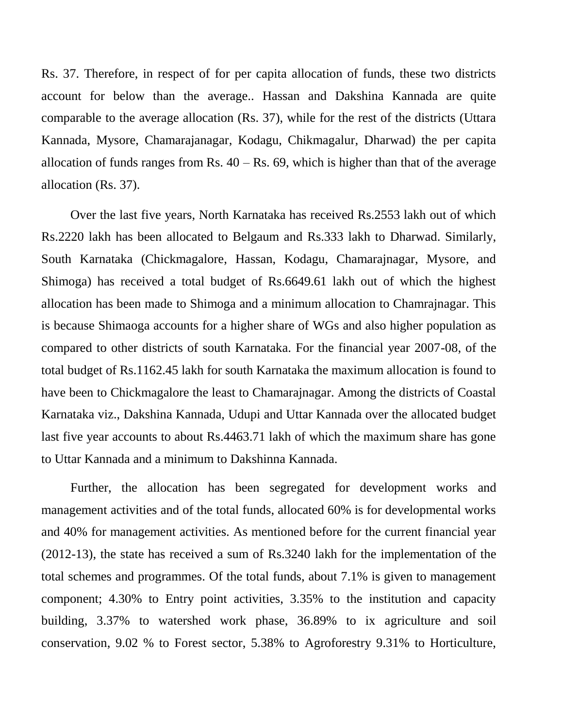Rs. 37. Therefore, in respect of for per capita allocation of funds, these two districts account for below than the average.. Hassan and Dakshina Kannada are quite comparable to the average allocation (Rs. 37), while for the rest of the districts (Uttara Kannada, Mysore, Chamarajanagar, Kodagu, Chikmagalur, Dharwad) the per capita allocation of funds ranges from Rs.  $40 - Rs$ . 69, which is higher than that of the average allocation (Rs. 37).

Over the last five years, North Karnataka has received Rs.2553 lakh out of which Rs.2220 lakh has been allocated to Belgaum and Rs.333 lakh to Dharwad. Similarly, South Karnataka (Chickmagalore, Hassan, Kodagu, Chamarajnagar, Mysore, and Shimoga) has received a total budget of Rs.6649.61 lakh out of which the highest allocation has been made to Shimoga and a minimum allocation to Chamrajnagar. This is because Shimaoga accounts for a higher share of WGs and also higher population as compared to other districts of south Karnataka. For the financial year 2007-08, of the total budget of Rs.1162.45 lakh for south Karnataka the maximum allocation is found to have been to Chickmagalore the least to Chamarajnagar. Among the districts of Coastal Karnataka viz., Dakshina Kannada, Udupi and Uttar Kannada over the allocated budget last five year accounts to about Rs.4463.71 lakh of which the maximum share has gone to Uttar Kannada and a minimum to Dakshinna Kannada.

Further, the allocation has been segregated for development works and management activities and of the total funds, allocated 60% is for developmental works and 40% for management activities. As mentioned before for the current financial year (2012-13), the state has received a sum of Rs.3240 lakh for the implementation of the total schemes and programmes. Of the total funds, about 7.1% is given to management component; 4.30% to Entry point activities, 3.35% to the institution and capacity building, 3.37% to watershed work phase, 36.89% to ix agriculture and soil conservation, 9.02 % to Forest sector, 5.38% to Agroforestry 9.31% to Horticulture,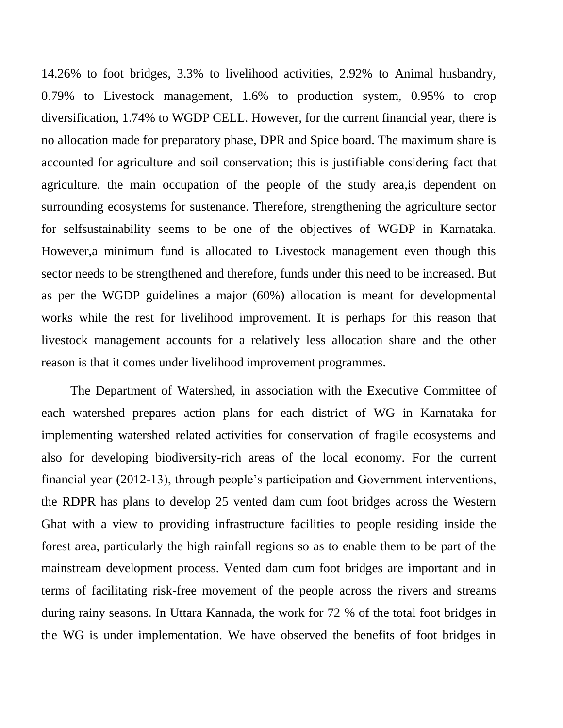14.26% to foot bridges, 3.3% to livelihood activities, 2.92% to Animal husbandry, 0.79% to Livestock management, 1.6% to production system, 0.95% to crop diversification, 1.74% to WGDP CELL. However, for the current financial year, there is no allocation made for preparatory phase, DPR and Spice board. The maximum share is accounted for agriculture and soil conservation; this is justifiable considering fact that agriculture. the main occupation of the people of the study area,is dependent on surrounding ecosystems for sustenance. Therefore, strengthening the agriculture sector for selfsustainability seems to be one of the objectives of WGDP in Karnataka. However,a minimum fund is allocated to Livestock management even though this sector needs to be strengthened and therefore, funds under this need to be increased. But as per the WGDP guidelines a major (60%) allocation is meant for developmental works while the rest for livelihood improvement. It is perhaps for this reason that livestock management accounts for a relatively less allocation share and the other reason is that it comes under livelihood improvement programmes.

The Department of Watershed, in association with the Executive Committee of each watershed prepares action plans for each district of WG in Karnataka for implementing watershed related activities for conservation of fragile ecosystems and also for developing biodiversity-rich areas of the local economy. For the current financial year (2012-13), through people's participation and Government interventions, the RDPR has plans to develop 25 vented dam cum foot bridges across the Western Ghat with a view to providing infrastructure facilities to people residing inside the forest area, particularly the high rainfall regions so as to enable them to be part of the mainstream development process. Vented dam cum foot bridges are important and in terms of facilitating risk-free movement of the people across the rivers and streams during rainy seasons. In Uttara Kannada, the work for 72 % of the total foot bridges in the WG is under implementation. We have observed the benefits of foot bridges in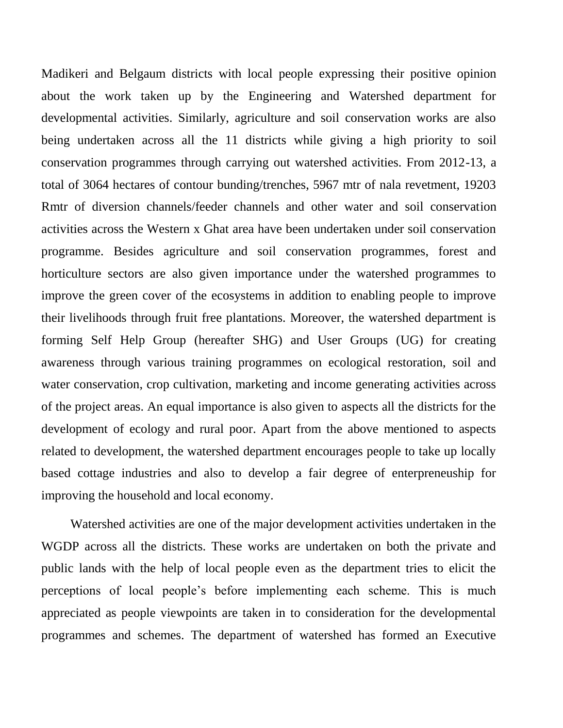Madikeri and Belgaum districts with local people expressing their positive opinion about the work taken up by the Engineering and Watershed department for developmental activities. Similarly, agriculture and soil conservation works are also being undertaken across all the 11 districts while giving a high priority to soil conservation programmes through carrying out watershed activities. From 2012-13, a total of 3064 hectares of contour bunding/trenches, 5967 mtr of nala revetment, 19203 Rmtr of diversion channels/feeder channels and other water and soil conservation activities across the Western x Ghat area have been undertaken under soil conservation programme. Besides agriculture and soil conservation programmes, forest and horticulture sectors are also given importance under the watershed programmes to improve the green cover of the ecosystems in addition to enabling people to improve their livelihoods through fruit free plantations. Moreover, the watershed department is forming Self Help Group (hereafter SHG) and User Groups (UG) for creating awareness through various training programmes on ecological restoration, soil and water conservation, crop cultivation, marketing and income generating activities across of the project areas. An equal importance is also given to aspects all the districts for the development of ecology and rural poor. Apart from the above mentioned to aspects related to development, the watershed department encourages people to take up locally based cottage industries and also to develop a fair degree of enterpreneuship for improving the household and local economy.

Watershed activities are one of the major development activities undertaken in the WGDP across all the districts. These works are undertaken on both the private and public lands with the help of local people even as the department tries to elicit the perceptions of local people's before implementing each scheme. This is much appreciated as people viewpoints are taken in to consideration for the developmental programmes and schemes. The department of watershed has formed an Executive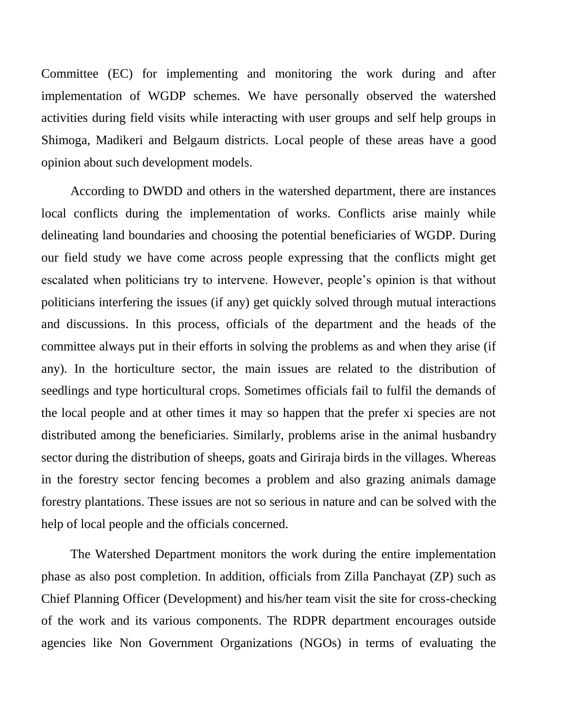Committee (EC) for implementing and monitoring the work during and after implementation of WGDP schemes. We have personally observed the watershed activities during field visits while interacting with user groups and self help groups in Shimoga, Madikeri and Belgaum districts. Local people of these areas have a good opinion about such development models.

According to DWDD and others in the watershed department, there are instances local conflicts during the implementation of works. Conflicts arise mainly while delineating land boundaries and choosing the potential beneficiaries of WGDP. During our field study we have come across people expressing that the conflicts might get escalated when politicians try to intervene. However, people's opinion is that without politicians interfering the issues (if any) get quickly solved through mutual interactions and discussions. In this process, officials of the department and the heads of the committee always put in their efforts in solving the problems as and when they arise (if any). In the horticulture sector, the main issues are related to the distribution of seedlings and type horticultural crops. Sometimes officials fail to fulfil the demands of the local people and at other times it may so happen that the prefer xi species are not distributed among the beneficiaries. Similarly, problems arise in the animal husbandry sector during the distribution of sheeps, goats and Giriraja birds in the villages. Whereas in the forestry sector fencing becomes a problem and also grazing animals damage forestry plantations. These issues are not so serious in nature and can be solved with the help of local people and the officials concerned.

The Watershed Department monitors the work during the entire implementation phase as also post completion. In addition, officials from Zilla Panchayat (ZP) such as Chief Planning Officer (Development) and his/her team visit the site for cross-checking of the work and its various components. The RDPR department encourages outside agencies like Non Government Organizations (NGOs) in terms of evaluating the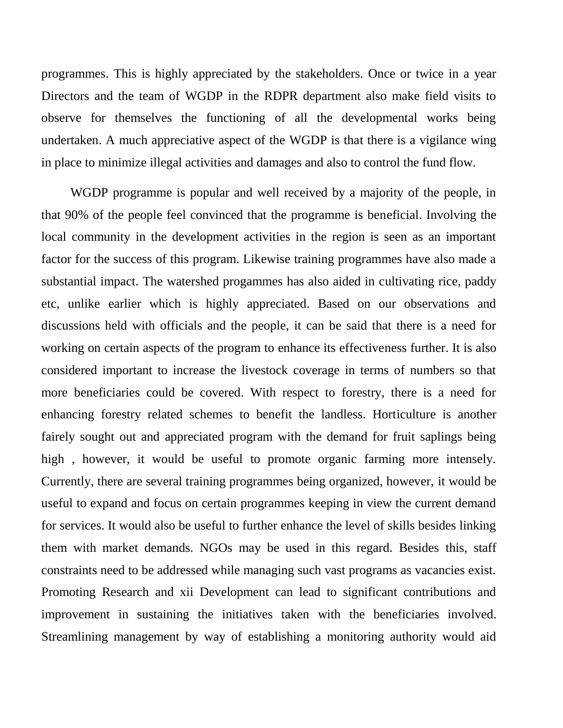programmes. This is highly appreciated by the stakeholders. Once or twice in a year Directors and the team of WGDP in the RDPR department also make field visits to observe for themselves the functioning of all the developmental works being undertaken. A much appreciative aspect of the WGDP is that there is a vigilance wing in place to minimize illegal activities and damages and also to control the fund flow.

WGDP programme is popular and well received by a majority of the people, in that 90% of the people feel convinced that the programme is beneficial. Involving the local community in the development activities in the region is seen as an important factor for the success of this program. Likewise training programmes have also made a substantial impact. The watershed progammes has also aided in cultivating rice, paddy etc, unlike earlier which is highly appreciated. Based on our observations and discussions held with officials and the people, it can be said that there is a need for working on certain aspects of the program to enhance its effectiveness further. It is also considered important to increase the livestock coverage in terms of numbers so that more beneficiaries could be covered. With respect to forestry, there is a need for enhancing forestry related schemes to benefit the landless. Horticulture is another fairely sought out and appreciated program with the demand for fruit saplings being high , however, it would be useful to promote organic farming more intensely. Currently, there are several training programmes being organized, however, it would be useful to expand and focus on certain programmes keeping in view the current demand for services. It would also be useful to further enhance the level of skills besides linking them with market demands. NGOs may be used in this regard. Besides this, staff constraints need to be addressed while managing such vast programs as vacancies exist. Promoting Research and xii Development can lead to significant contributions and improvement in sustaining the initiatives taken with the beneficiaries involved. Streamlining management by way of establishing a monitoring authority would aid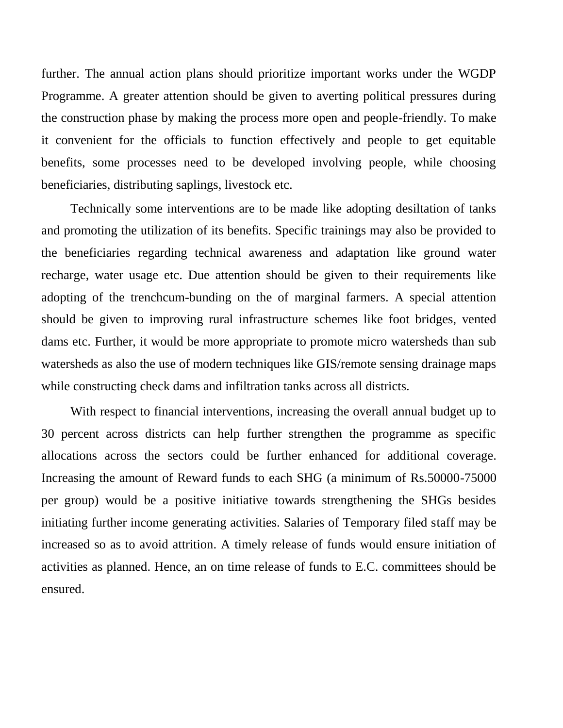further. The annual action plans should prioritize important works under the WGDP Programme. A greater attention should be given to averting political pressures during the construction phase by making the process more open and people-friendly. To make it convenient for the officials to function effectively and people to get equitable benefits, some processes need to be developed involving people, while choosing beneficiaries, distributing saplings, livestock etc.

Technically some interventions are to be made like adopting desiltation of tanks and promoting the utilization of its benefits. Specific trainings may also be provided to the beneficiaries regarding technical awareness and adaptation like ground water recharge, water usage etc. Due attention should be given to their requirements like adopting of the trenchcum-bunding on the of marginal farmers. A special attention should be given to improving rural infrastructure schemes like foot bridges, vented dams etc. Further, it would be more appropriate to promote micro watersheds than sub watersheds as also the use of modern techniques like GIS/remote sensing drainage maps while constructing check dams and infiltration tanks across all districts.

With respect to financial interventions, increasing the overall annual budget up to 30 percent across districts can help further strengthen the programme as specific allocations across the sectors could be further enhanced for additional coverage. Increasing the amount of Reward funds to each SHG (a minimum of Rs.50000-75000 per group) would be a positive initiative towards strengthening the SHGs besides initiating further income generating activities. Salaries of Temporary filed staff may be increased so as to avoid attrition. A timely release of funds would ensure initiation of activities as planned. Hence, an on time release of funds to E.C. committees should be ensured.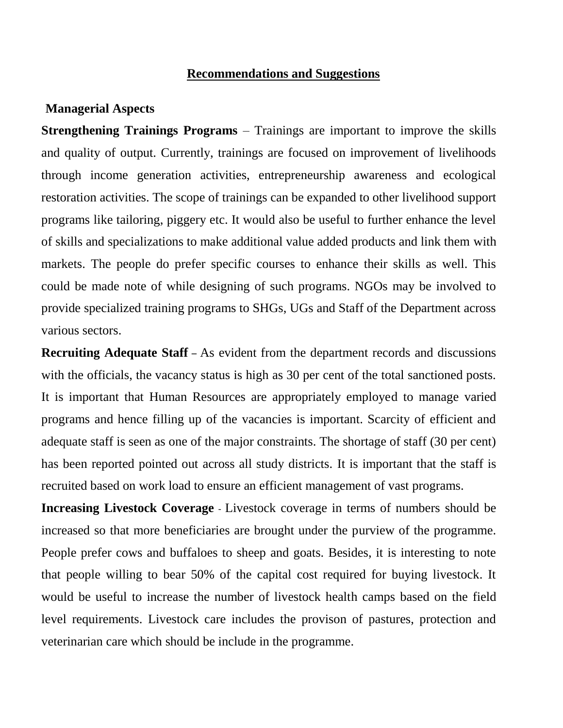## **Recommendations and Suggestions**

#### **Managerial Aspects**

**Strengthening Trainings Programs** – Trainings are important to improve the skills and quality of output. Currently, trainings are focused on improvement of livelihoods through income generation activities, entrepreneurship awareness and ecological restoration activities. The scope of trainings can be expanded to other livelihood support programs like tailoring, piggery etc. It would also be useful to further enhance the level of skills and specializations to make additional value added products and link them with markets. The people do prefer specific courses to enhance their skills as well. This could be made note of while designing of such programs. NGOs may be involved to provide specialized training programs to SHGs, UGs and Staff of the Department across various sectors.

**Recruiting Adequate Staff** – As evident from the department records and discussions with the officials, the vacancy status is high as 30 per cent of the total sanctioned posts. It is important that Human Resources are appropriately employed to manage varied programs and hence filling up of the vacancies is important. Scarcity of efficient and adequate staff is seen as one of the major constraints. The shortage of staff (30 per cent) has been reported pointed out across all study districts. It is important that the staff is recruited based on work load to ensure an efficient management of vast programs.

**Increasing Livestock Coverage** - Livestock coverage in terms of numbers should be increased so that more beneficiaries are brought under the purview of the programme. People prefer cows and buffaloes to sheep and goats. Besides, it is interesting to note that people willing to bear 50% of the capital cost required for buying livestock. It would be useful to increase the number of livestock health camps based on the field level requirements. Livestock care includes the provison of pastures, protection and veterinarian care which should be include in the programme.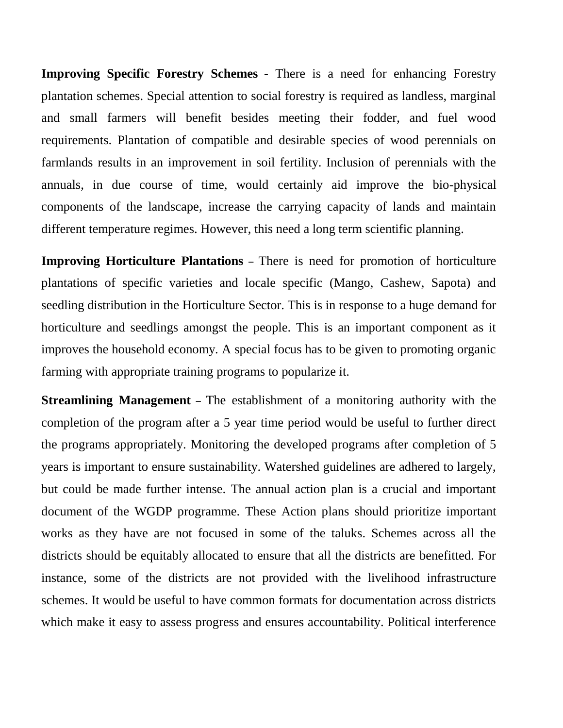**Improving Specific Forestry Schemes** - There is a need for enhancing Forestry plantation schemes. Special attention to social forestry is required as landless, marginal and small farmers will benefit besides meeting their fodder, and fuel wood requirements. Plantation of compatible and desirable species of wood perennials on farmlands results in an improvement in soil fertility. Inclusion of perennials with the annuals, in due course of time, would certainly aid improve the bio-physical components of the landscape, increase the carrying capacity of lands and maintain different temperature regimes. However, this need a long term scientific planning.

**Improving Horticulture Plantations** – There is need for promotion of horticulture plantations of specific varieties and locale specific (Mango, Cashew, Sapota) and seedling distribution in the Horticulture Sector. This is in response to a huge demand for horticulture and seedlings amongst the people. This is an important component as it improves the household economy. A special focus has to be given to promoting organic farming with appropriate training programs to popularize it.

**Streamlining Management** – The establishment of a monitoring authority with the completion of the program after a 5 year time period would be useful to further direct the programs appropriately. Monitoring the developed programs after completion of 5 years is important to ensure sustainability. Watershed guidelines are adhered to largely, but could be made further intense. The annual action plan is a crucial and important document of the WGDP programme. These Action plans should prioritize important works as they have are not focused in some of the taluks. Schemes across all the districts should be equitably allocated to ensure that all the districts are benefitted. For instance, some of the districts are not provided with the livelihood infrastructure schemes. It would be useful to have common formats for documentation across districts which make it easy to assess progress and ensures accountability. Political interference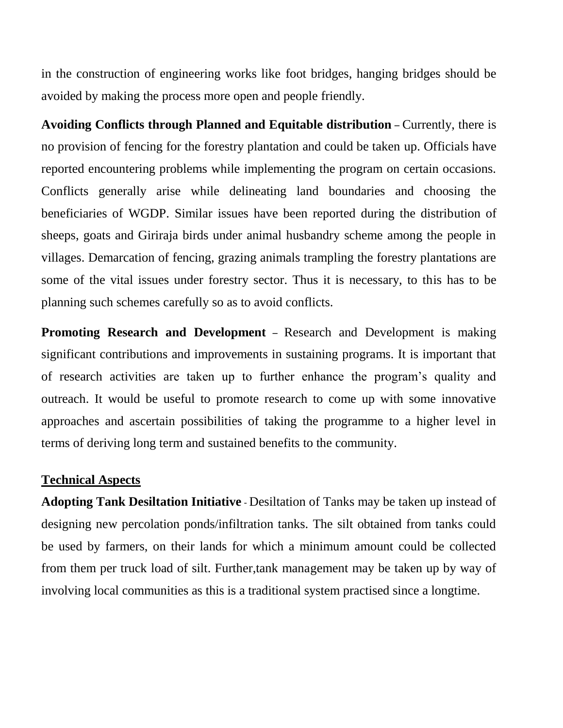in the construction of engineering works like foot bridges, hanging bridges should be avoided by making the process more open and people friendly.

**Avoiding Conflicts through Planned and Equitable distribution** – Currently, there is no provision of fencing for the forestry plantation and could be taken up. Officials have reported encountering problems while implementing the program on certain occasions. Conflicts generally arise while delineating land boundaries and choosing the beneficiaries of WGDP. Similar issues have been reported during the distribution of sheeps, goats and Giriraja birds under animal husbandry scheme among the people in villages. Demarcation of fencing, grazing animals trampling the forestry plantations are some of the vital issues under forestry sector. Thus it is necessary, to this has to be planning such schemes carefully so as to avoid conflicts.

**Promoting Research and Development** – Research and Development is making significant contributions and improvements in sustaining programs. It is important that of research activities are taken up to further enhance the program's quality and outreach. It would be useful to promote research to come up with some innovative approaches and ascertain possibilities of taking the programme to a higher level in terms of deriving long term and sustained benefits to the community.

### **Technical Aspects**

**Adopting Tank Desiltation Initiative** - Desiltation of Tanks may be taken up instead of designing new percolation ponds/infiltration tanks. The silt obtained from tanks could be used by farmers, on their lands for which a minimum amount could be collected from them per truck load of silt. Further,tank management may be taken up by way of involving local communities as this is a traditional system practised since a longtime.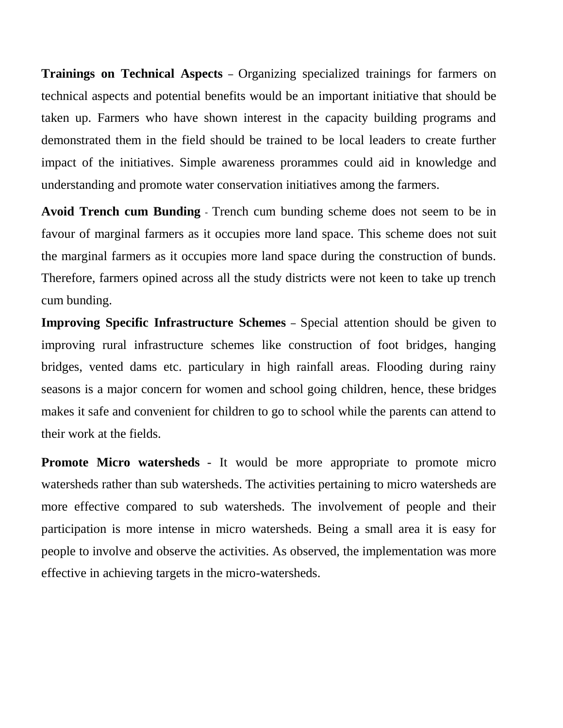**Trainings on Technical Aspects** – Organizing specialized trainings for farmers on technical aspects and potential benefits would be an important initiative that should be taken up. Farmers who have shown interest in the capacity building programs and demonstrated them in the field should be trained to be local leaders to create further impact of the initiatives. Simple awareness prorammes could aid in knowledge and understanding and promote water conservation initiatives among the farmers.

**Avoid Trench cum Bunding** - Trench cum bunding scheme does not seem to be in favour of marginal farmers as it occupies more land space. This scheme does not suit the marginal farmers as it occupies more land space during the construction of bunds. Therefore, farmers opined across all the study districts were not keen to take up trench cum bunding.

**Improving Specific Infrastructure Schemes** – Special attention should be given to improving rural infrastructure schemes like construction of foot bridges, hanging bridges, vented dams etc. particulary in high rainfall areas. Flooding during rainy seasons is a major concern for women and school going children, hence, these bridges makes it safe and convenient for children to go to school while the parents can attend to their work at the fields.

**Promote Micro watersheds** - It would be more appropriate to promote micro watersheds rather than sub watersheds. The activities pertaining to micro watersheds are more effective compared to sub watersheds. The involvement of people and their participation is more intense in micro watersheds. Being a small area it is easy for people to involve and observe the activities. As observed, the implementation was more effective in achieving targets in the micro-watersheds.